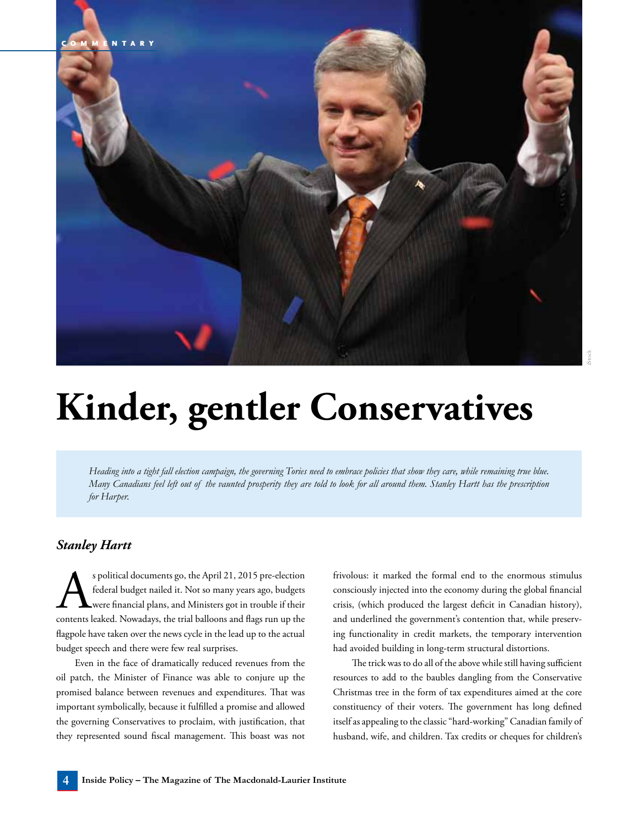

## **Kinder, gentler Conservatives**

*Heading into a tight fall election campaign, the governing Tories need to embrace policies that show they care, while remaining true blue. Many Canadians feel left out of the vaunted prosperity they are told to look for all around them. Stanley Hartt has the prescription for Harper.*

## *Stanley Hartt*

s political documents go, the April 21, 2015 pre-election<br>federal budget nailed it. Not so many years ago, budgets<br>were financial plans, and Ministers got in trouble if their<br>contents leaked. Nowadays, the trial balloons a federal budget nailed it. Not so many years ago, budgets were financial plans, and Ministers got in trouble if their contents leaked. Nowadays, the trial balloons and flags run up the flagpole have taken over the news cycle in the lead up to the actual budget speech and there were few real surprises.

Even in the face of dramatically reduced revenues from the oil patch, the Minister of Finance was able to conjure up the promised balance between revenues and expenditures. That was important symbolically, because it fulfilled a promise and allowed the governing Conservatives to proclaim, with justification, that they represented sound fiscal management. This boast was not frivolous: it marked the formal end to the enormous stimulus consciously injected into the economy during the global financial crisis, (which produced the largest deficit in Canadian history), and underlined the government's contention that, while preserving functionality in credit markets, the temporary intervention had avoided building in long-term structural distortions.

The trick was to do all of the above while still having sufficient resources to add to the baubles dangling from the Conservative Christmas tree in the form of tax expenditures aimed at the core constituency of their voters. The government has long defined itself as appealing to the classic "hard-working" Canadian family of husband, wife, and children. Tax credits or cheques for children's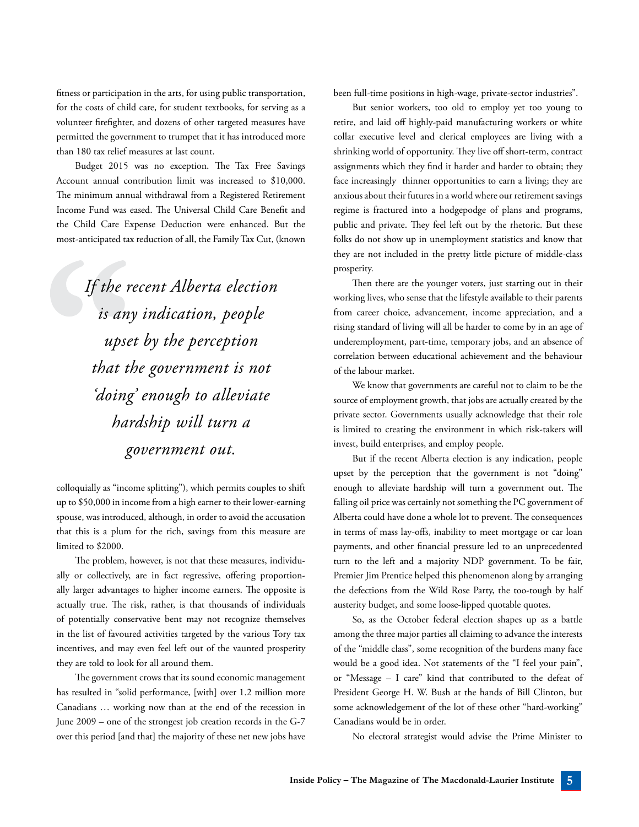fitness or participation in the arts, for using public transportation, for the costs of child care, for student textbooks, for serving as a volunteer firefighter, and dozens of other targeted measures have permitted the government to trumpet that it has introduced more than 180 tax relief measures at last count.

Budget 2015 was no exception. The Tax Free Savings Account annual contribution limit was increased to \$10,000. The minimum annual withdrawal from a Registered Retirement Income Fund was eased. The Universal Child Care Benefit and the Child Care Expense Deduction were enhanced. But the most-anticipated tax reduction of all, the Family Tax Cut, (known

> *If the recent Alberta election is any indication, people upset by the perception that the government is not 'doing' enough to alleviate hardship will turn a government out.*

colloquially as "income splitting"), which permits couples to shift up to \$50,000 in income from a high earner to their lower-earning spouse, was introduced, although, in order to avoid the accusation that this is a plum for the rich, savings from this measure are limited to \$2000.

The problem, however, is not that these measures, individually or collectively, are in fact regressive, offering proportionally larger advantages to higher income earners. The opposite is actually true. The risk, rather, is that thousands of individuals of potentially conservative bent may not recognize themselves in the list of favoured activities targeted by the various Tory tax incentives, and may even feel left out of the vaunted prosperity they are told to look for all around them.

The government crows that its sound economic management has resulted in "solid performance, [with] over 1.2 million more Canadians … working now than at the end of the recession in June 2009 – one of the strongest job creation records in the G-7 over this period [and that] the majority of these net new jobs have been full-time positions in high-wage, private-sector industries".

But senior workers, too old to employ yet too young to retire, and laid off highly-paid manufacturing workers or white collar executive level and clerical employees are living with a shrinking world of opportunity. They live off short-term, contract assignments which they find it harder and harder to obtain; they face increasingly thinner opportunities to earn a living; they are anxious about their futures in a world where our retirement savings regime is fractured into a hodgepodge of plans and programs, public and private. They feel left out by the rhetoric. But these folks do not show up in unemployment statistics and know that they are not included in the pretty little picture of middle-class prosperity.

Then there are the younger voters, just starting out in their working lives, who sense that the lifestyle available to their parents from career choice, advancement, income appreciation, and a rising standard of living will all be harder to come by in an age of underemployment, part-time, temporary jobs, and an absence of correlation between educational achievement and the behaviour of the labour market.

We know that governments are careful not to claim to be the source of employment growth, that jobs are actually created by the private sector. Governments usually acknowledge that their role is limited to creating the environment in which risk-takers will invest, build enterprises, and employ people.

But if the recent Alberta election is any indication, people upset by the perception that the government is not "doing" enough to alleviate hardship will turn a government out. The falling oil price was certainly not something the PC government of Alberta could have done a whole lot to prevent. The consequences in terms of mass lay-offs, inability to meet mortgage or car loan payments, and other financial pressure led to an unprecedented turn to the left and a majority NDP government. To be fair, Premier Jim Prentice helped this phenomenon along by arranging the defections from the Wild Rose Party, the too-tough by half austerity budget, and some loose-lipped quotable quotes.

So, as the October federal election shapes up as a battle among the three major parties all claiming to advance the interests of the "middle class", some recognition of the burdens many face would be a good idea. Not statements of the "I feel your pain", or "Message – I care" kind that contributed to the defeat of President George H. W. Bush at the hands of Bill Clinton, but some acknowledgement of the lot of these other "hard-working" Canadians would be in order.

No electoral strategist would advise the Prime Minister to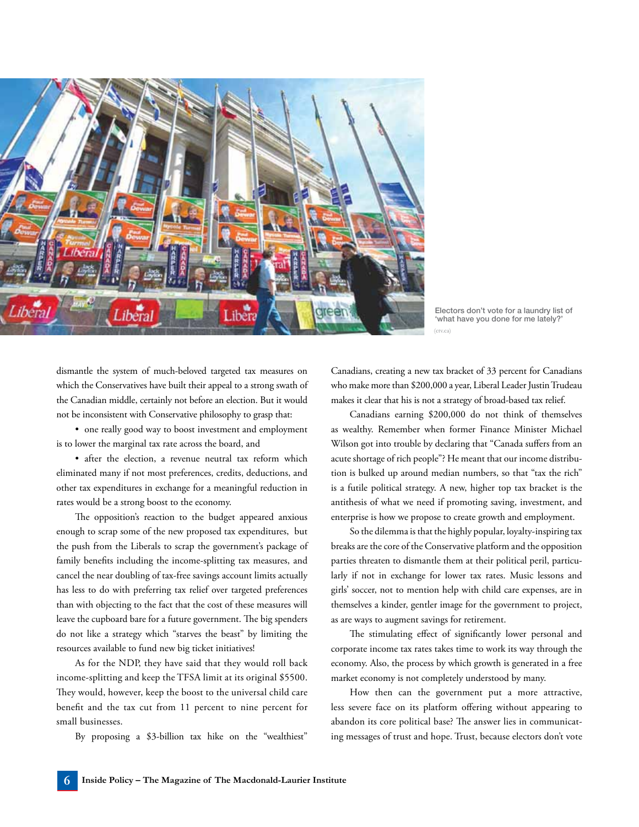

Electors don't vote for a laundry list of 'what have you done for me lately? (ctv.ca)

dismantle the system of much-beloved targeted tax measures on which the Conservatives have built their appeal to a strong swath of the Canadian middle, certainly not before an election. But it would not be inconsistent with Conservative philosophy to grasp that:

• one really good way to boost investment and employment is to lower the marginal tax rate across the board, and

• after the election, a revenue neutral tax reform which eliminated many if not most preferences, credits, deductions, and other tax expenditures in exchange for a meaningful reduction in rates would be a strong boost to the economy.

The opposition's reaction to the budget appeared anxious enough to scrap some of the new proposed tax expenditures, but the push from the Liberals to scrap the government's package of family benefits including the income-splitting tax measures, and cancel the near doubling of tax-free savings account limits actually has less to do with preferring tax relief over targeted preferences than with objecting to the fact that the cost of these measures will leave the cupboard bare for a future government. The big spenders do not like a strategy which "starves the beast" by limiting the resources available to fund new big ticket initiatives!

As for the NDP, they have said that they would roll back income-splitting and keep the TFSA limit at its original \$5500. They would, however, keep the boost to the universal child care benefit and the tax cut from 11 percent to nine percent for small businesses.

By proposing a \$3-billion tax hike on the "wealthiest"

Canadians, creating a new tax bracket of 33 percent for Canadians who make more than \$200,000 a year, Liberal Leader Justin Trudeau makes it clear that his is not a strategy of broad-based tax relief.

Canadians earning \$200,000 do not think of themselves as wealthy. Remember when former Finance Minister Michael Wilson got into trouble by declaring that "Canada suffers from an acute shortage of rich people"? He meant that our income distribution is bulked up around median numbers, so that "tax the rich" is a futile political strategy. A new, higher top tax bracket is the antithesis of what we need if promoting saving, investment, and enterprise is how we propose to create growth and employment.

So the dilemma is that the highly popular, loyalty-inspiring tax breaks are the core of the Conservative platform and the opposition parties threaten to dismantle them at their political peril, particularly if not in exchange for lower tax rates. Music lessons and girls' soccer, not to mention help with child care expenses, are in themselves a kinder, gentler image for the government to project, as are ways to augment savings for retirement.

The stimulating effect of significantly lower personal and corporate income tax rates takes time to work its way through the economy. Also, the process by which growth is generated in a free market economy is not completely understood by many.

How then can the government put a more attractive, less severe face on its platform offering without appearing to abandon its core political base? The answer lies in communicating messages of trust and hope. Trust, because electors don't vote